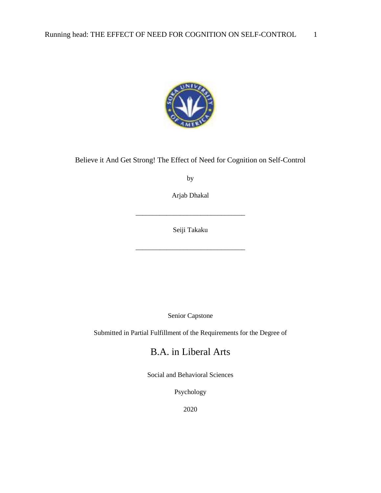

### Believe it And Get Strong! The Effect of Need for Cognition on Self-Control

by

Arjab Dhakal

\_\_\_\_\_\_\_\_\_\_\_\_\_\_\_\_\_\_\_\_\_\_\_\_\_\_\_\_\_\_\_\_

Seiji Takaku

\_\_\_\_\_\_\_\_\_\_\_\_\_\_\_\_\_\_\_\_\_\_\_\_\_\_\_\_\_\_\_\_

Senior Capstone

Submitted in Partial Fulfillment of the Requirements for the Degree of

## B.A. in Liberal Arts

Social and Behavioral Sciences

Psychology

2020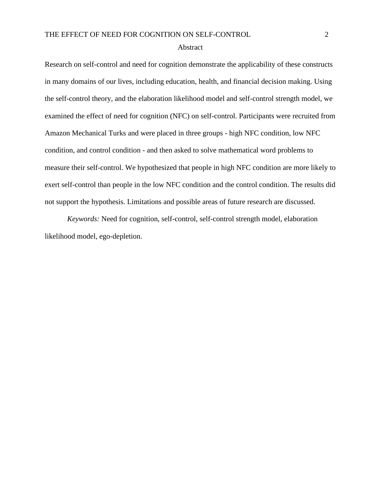#### Abstract

Research on self-control and need for cognition demonstrate the applicability of these constructs in many domains of our lives, including education, health, and financial decision making. Using the self-control theory, and the elaboration likelihood model and self-control strength model, we examined the effect of need for cognition (NFC) on self-control. Participants were recruited from Amazon Mechanical Turks and were placed in three groups - high NFC condition, low NFC condition, and control condition - and then asked to solve mathematical word problems to measure their self-control. We hypothesized that people in high NFC condition are more likely to exert self-control than people in the low NFC condition and the control condition. The results did not support the hypothesis. Limitations and possible areas of future research are discussed.

*Keywords:* Need for cognition, self-control, self-control strength model, elaboration likelihood model, ego-depletion.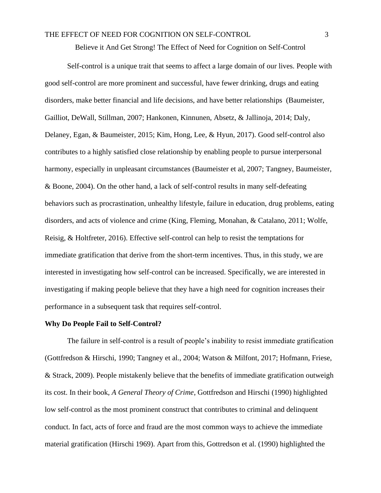Believe it And Get Strong! The Effect of Need for Cognition on Self-Control

Self-control is a unique trait that seems to affect a large domain of our lives. People with good self-control are more prominent and successful, have fewer drinking, drugs and eating disorders, make better financial and life decisions, and have better relationships (Baumeister, Gailliot, DeWall, Stillman, 2007; Hankonen, Kinnunen, Absetz, & Jallinoja, 2014; Daly, Delaney, Egan, & Baumeister, 2015; Kim, Hong, Lee, & Hyun, 2017). Good self-control also contributes to a highly satisfied close relationship by enabling people to pursue interpersonal harmony, especially in unpleasant circumstances (Baumeister et al, 2007; Tangney, Baumeister, & Boone, 2004). On the other hand, a lack of self-control results in many self-defeating behaviors such as procrastination, unhealthy lifestyle, failure in education, drug problems, eating disorders, and acts of violence and crime (King, Fleming, Monahan, & Catalano, 2011; Wolfe, Reisig, & Holtfreter, 2016). Effective self-control can help to resist the temptations for immediate gratification that derive from the short-term incentives. Thus, in this study, we are interested in investigating how self-control can be increased. Specifically, we are interested in investigating if making people believe that they have a high need for cognition increases their performance in a subsequent task that requires self-control.

#### **Why Do People Fail to Self-Control?**

The failure in self-control is a result of people's inability to resist immediate gratification (Gottfredson & Hirschi, 1990; Tangney et al., 2004; Watson & Milfont, 2017; Hofmann, Friese, & Strack, 2009). People mistakenly believe that the benefits of immediate gratification outweigh its cost. In their book, *A General Theory of Crime*, Gottfredson and Hirschi (1990) highlighted low self-control as the most prominent construct that contributes to criminal and delinquent conduct. In fact, acts of force and fraud are the most common ways to achieve the immediate material gratification (Hirschi 1969). Apart from this, Gottredson et al. (1990) highlighted the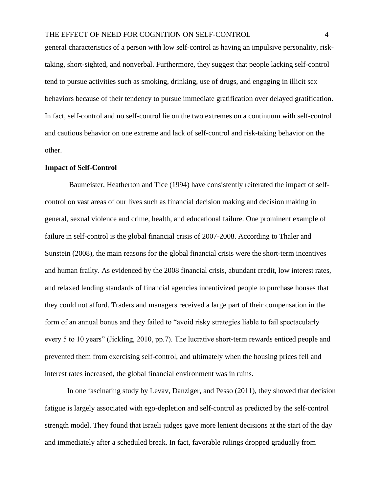general characteristics of a person with low self-control as having an impulsive personality, risktaking, short-sighted, and nonverbal. Furthermore, they suggest that people lacking self-control tend to pursue activities such as smoking, drinking, use of drugs, and engaging in illicit sex behaviors because of their tendency to pursue immediate gratification over delayed gratification. In fact, self-control and no self-control lie on the two extremes on a continuum with self-control and cautious behavior on one extreme and lack of self-control and risk-taking behavior on the other.

#### **Impact of Self-Control**

Baumeister, Heatherton and Tice (1994) have consistently reiterated the impact of selfcontrol on vast areas of our lives such as financial decision making and decision making in general, sexual violence and crime, health, and educational failure. One prominent example of failure in self-control is the global financial crisis of 2007-2008. According to Thaler and Sunstein (2008), the main reasons for the global financial crisis were the short-term incentives and human frailty. As evidenced by the 2008 financial crisis, abundant credit, low interest rates, and relaxed lending standards of financial agencies incentivized people to purchase houses that they could not afford. Traders and managers received a large part of their compensation in the form of an annual bonus and they failed to "avoid risky strategies liable to fail spectacularly every 5 to 10 years" (Jickling, 2010, pp.7). The lucrative short-term rewards enticed people and prevented them from exercising self-control, and ultimately when the housing prices fell and interest rates increased, the global financial environment was in ruins.

In one fascinating study by Levav, Danziger, and Pesso (2011), they showed that decision fatigue is largely associated with ego-depletion and self-control as predicted by the self-control strength model. They found that Israeli judges gave more lenient decisions at the start of the day and immediately after a scheduled break. In fact, favorable rulings dropped gradually from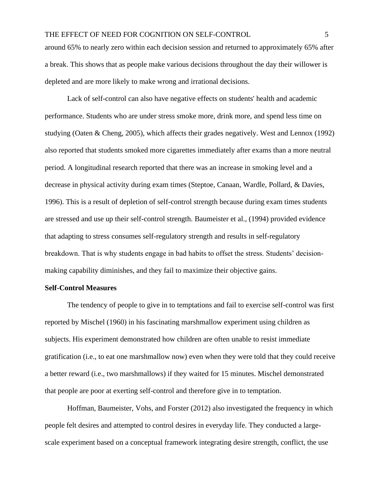around 65% to nearly zero within each decision session and returned to approximately 65% after a break. This shows that as people make various decisions throughout the day their willower is depleted and are more likely to make wrong and irrational decisions.

Lack of self-control can also have negative effects on students' health and academic performance. Students who are under stress smoke more, drink more, and spend less time on studying (Oaten & Cheng, 2005), which affects their grades negatively. West and Lennox (1992) also reported that students smoked more cigarettes immediately after exams than a more neutral period. A longitudinal research reported that there was an increase in smoking level and a decrease in physical activity during exam times (Steptoe, Canaan, Wardle, Pollard, & Davies, 1996). This is a result of depletion of self-control strength because during exam times students are stressed and use up their self-control strength. Baumeister et al., (1994) provided evidence that adapting to stress consumes self-regulatory strength and results in self-regulatory breakdown. That is why students engage in bad habits to offset the stress. Students' decisionmaking capability diminishes, and they fail to maximize their objective gains.

#### **Self-Control Measures**

The tendency of people to give in to temptations and fail to exercise self-control was first reported by Mischel (1960) in his fascinating marshmallow experiment using children as subjects. His experiment demonstrated how children are often unable to resist immediate gratification (i.e., to eat one marshmallow now) even when they were told that they could receive a better reward (i.e., two marshmallows) if they waited for 15 minutes. Mischel demonstrated that people are poor at exerting self-control and therefore give in to temptation.

Hoffman, Baumeister, Vohs, and Forster (2012) also investigated the frequency in which people felt desires and attempted to control desires in everyday life. They conducted a largescale experiment based on a conceptual framework integrating desire strength, conflict, the use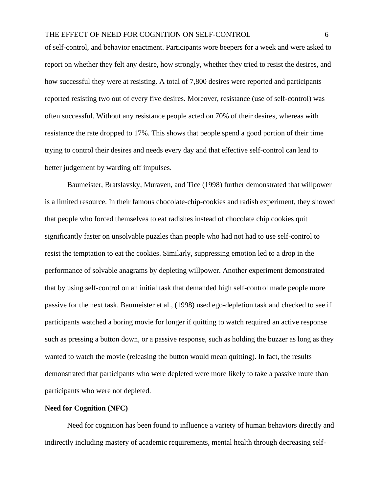of self-control, and behavior enactment. Participants wore beepers for a week and were asked to report on whether they felt any desire, how strongly, whether they tried to resist the desires, and how successful they were at resisting. A total of 7,800 desires were reported and participants reported resisting two out of every five desires. Moreover, resistance (use of self-control) was often successful. Without any resistance people acted on 70% of their desires, whereas with resistance the rate dropped to 17%. This shows that people spend a good portion of their time trying to control their desires and needs every day and that effective self-control can lead to better judgement by warding off impulses.

Baumeister, Bratslavsky, Muraven, and Tice (1998) further demonstrated that willpower is a limited resource. In their famous chocolate-chip-cookies and radish experiment, they showed that people who forced themselves to eat radishes instead of chocolate chip cookies quit significantly faster on unsolvable puzzles than people who had not had to use self-control to resist the temptation to eat the cookies. Similarly, suppressing emotion led to a drop in the performance of solvable anagrams by depleting willpower. Another experiment demonstrated that by using self-control on an initial task that demanded high self-control made people more passive for the next task. Baumeister et al., (1998) used ego-depletion task and checked to see if participants watched a boring movie for longer if quitting to watch required an active response such as pressing a button down, or a passive response, such as holding the buzzer as long as they wanted to watch the movie (releasing the button would mean quitting). In fact, the results demonstrated that participants who were depleted were more likely to take a passive route than participants who were not depleted.

#### **Need for Cognition (NFC)**

Need for cognition has been found to influence a variety of human behaviors directly and indirectly including mastery of academic requirements, mental health through decreasing self-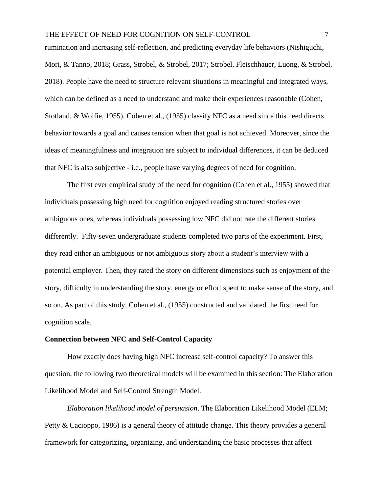rumination and increasing self-reflection, and predicting everyday life behaviors (Nishiguchi, Mori, & Tanno, 2018; Grass, Strobel, & Strobel, 2017; Strobel, Fleischhauer, Luong, & Strobel, 2018). People have the need to structure relevant situations in meaningful and integrated ways, which can be defined as a need to understand and make their experiences reasonable (Cohen, Stotland, & Wolfie, 1955). Cohen et al., (1955) classify NFC as a need since this need directs behavior towards a goal and causes tension when that goal is not achieved. Moreover, since the ideas of meaningfulness and integration are subject to individual differences, it can be deduced that NFC is also subjective - i.e., people have varying degrees of need for cognition.

The first ever empirical study of the need for cognition (Cohen et al., 1955) showed that individuals possessing high need for cognition enjoyed reading structured stories over ambiguous ones, whereas individuals possessing low NFC did not rate the different stories differently. Fifty-seven undergraduate students completed two parts of the experiment. First, they read either an ambiguous or not ambiguous story about a student's interview with a potential employer. Then, they rated the story on different dimensions such as enjoyment of the story, difficulty in understanding the story, energy or effort spent to make sense of the story, and so on. As part of this study, Cohen et al., (1955) constructed and validated the first need for cognition scale.

#### **Connection between NFC and Self-Control Capacity**

How exactly does having high NFC increase self-control capacity? To answer this question, the following two theoretical models will be examined in this section: The Elaboration Likelihood Model and Self-Control Strength Model.

*Elaboration likelihood model of persuasion*. The Elaboration Likelihood Model (ELM; Petty & Cacioppo, 1986) is a general theory of attitude change. This theory provides a general framework for categorizing, organizing, and understanding the basic processes that affect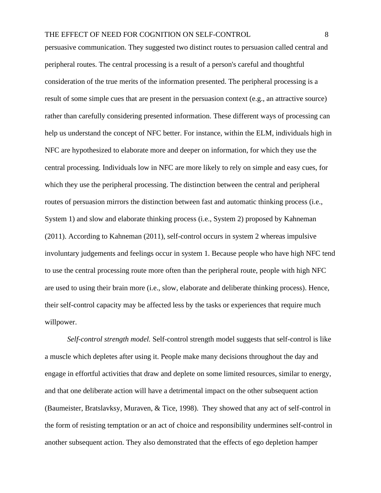persuasive communication. They suggested two distinct routes to persuasion called central and peripheral routes. The central processing is a result of a person's careful and thoughtful consideration of the true merits of the information presented. The peripheral processing is a result of some simple cues that are present in the persuasion context (e.g., an attractive source) rather than carefully considering presented information. These different ways of processing can help us understand the concept of NFC better. For instance, within the ELM, individuals high in NFC are hypothesized to elaborate more and deeper on information, for which they use the central processing. Individuals low in NFC are more likely to rely on simple and easy cues, for which they use the peripheral processing. The distinction between the central and peripheral routes of persuasion mirrors the distinction between fast and automatic thinking process (i.e., System 1) and slow and elaborate thinking process (i.e., System 2) proposed by Kahneman (2011). According to Kahneman (2011), self-control occurs in system 2 whereas impulsive involuntary judgements and feelings occur in system 1. Because people who have high NFC tend to use the central processing route more often than the peripheral route, people with high NFC are used to using their brain more (i.e., slow, elaborate and deliberate thinking process). Hence, their self-control capacity may be affected less by the tasks or experiences that require much willpower.

*Self-control strength model.* Self-control strength model suggests that self-control is like a muscle which depletes after using it. People make many decisions throughout the day and engage in effortful activities that draw and deplete on some limited resources, similar to energy, and that one deliberate action will have a detrimental impact on the other subsequent action (Baumeister, Bratslavksy, Muraven, & Tice, 1998). They showed that any act of self-control in the form of resisting temptation or an act of choice and responsibility undermines self-control in another subsequent action. They also demonstrated that the effects of ego depletion hamper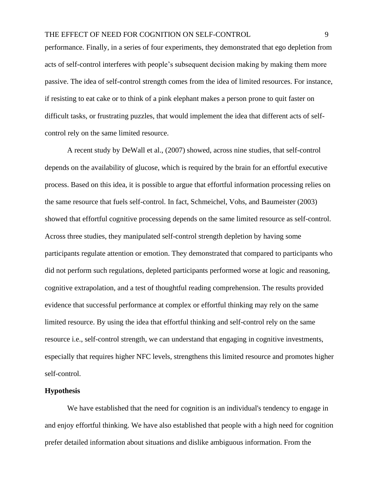performance. Finally, in a series of four experiments, they demonstrated that ego depletion from acts of self-control interferes with people's subsequent decision making by making them more passive. The idea of self-control strength comes from the idea of limited resources. For instance, if resisting to eat cake or to think of a pink elephant makes a person prone to quit faster on difficult tasks, or frustrating puzzles, that would implement the idea that different acts of selfcontrol rely on the same limited resource.

A recent study by DeWall et al., (2007) showed, across nine studies, that self-control depends on the availability of glucose, which is required by the brain for an effortful executive process. Based on this idea, it is possible to argue that effortful information processing relies on the same resource that fuels self-control. In fact, Schmeichel, Vohs, and Baumeister (2003) showed that effortful cognitive processing depends on the same limited resource as self-control. Across three studies, they manipulated self-control strength depletion by having some participants regulate attention or emotion. They demonstrated that compared to participants who did not perform such regulations, depleted participants performed worse at logic and reasoning, cognitive extrapolation, and a test of thoughtful reading comprehension. The results provided evidence that successful performance at complex or effortful thinking may rely on the same limited resource. By using the idea that effortful thinking and self-control rely on the same resource i.e., self-control strength, we can understand that engaging in cognitive investments, especially that requires higher NFC levels, strengthens this limited resource and promotes higher self-control.

#### **Hypothesis**

We have established that the need for cognition is an individual's tendency to engage in and enjoy effortful thinking. We have also established that people with a high need for cognition prefer detailed information about situations and dislike ambiguous information. From the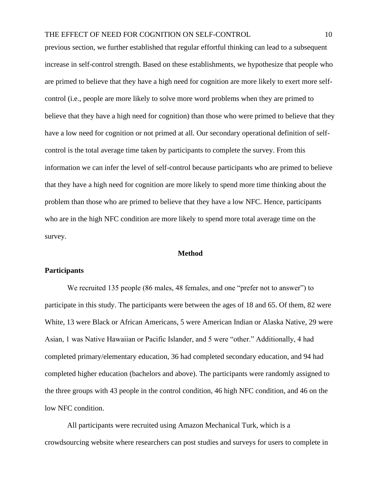previous section, we further established that regular effortful thinking can lead to a subsequent increase in self-control strength. Based on these establishments, we hypothesize that people who are primed to believe that they have a high need for cognition are more likely to exert more selfcontrol (i.e., people are more likely to solve more word problems when they are primed to believe that they have a high need for cognition) than those who were primed to believe that they have a low need for cognition or not primed at all. Our secondary operational definition of selfcontrol is the total average time taken by participants to complete the survey. From this information we can infer the level of self-control because participants who are primed to believe that they have a high need for cognition are more likely to spend more time thinking about the problem than those who are primed to believe that they have a low NFC. Hence, participants who are in the high NFC condition are more likely to spend more total average time on the survey.

#### **Method**

#### **Participants**

We recruited 135 people (86 males, 48 females, and one "prefer not to answer") to participate in this study. The participants were between the ages of 18 and 65. Of them, 82 were White, 13 were Black or African Americans, 5 were American Indian or Alaska Native, 29 were Asian, 1 was Native Hawaiian or Pacific Islander, and 5 were "other." Additionally, 4 had completed primary/elementary education, 36 had completed secondary education, and 94 had completed higher education (bachelors and above). The participants were randomly assigned to the three groups with 43 people in the control condition, 46 high NFC condition, and 46 on the low NFC condition.

All participants were recruited using Amazon Mechanical Turk, which is a crowdsourcing website where researchers can post studies and surveys for users to complete in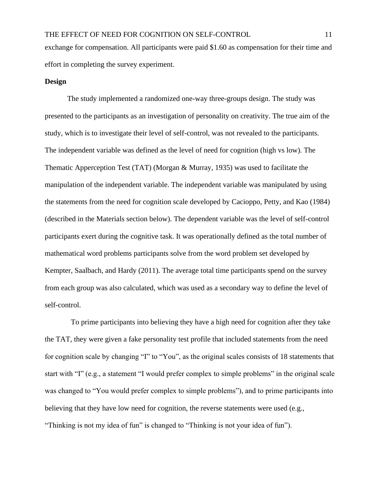#### **Design**

The study implemented a randomized one-way three-groups design. The study was presented to the participants as an investigation of personality on creativity. The true aim of the study, which is to investigate their level of self-control, was not revealed to the participants. The independent variable was defined as the level of need for cognition (high vs low). The Thematic Apperception Test (TAT) (Morgan & Murray, 1935) was used to facilitate the manipulation of the independent variable. The independent variable was manipulated by using the statements from the need for cognition scale developed by Cacioppo, Petty, and Kao (1984) (described in the Materials section below). The dependent variable was the level of self-control participants exert during the cognitive task. It was operationally defined as the total number of mathematical word problems participants solve from the word problem set developed by Kempter, Saalbach, and Hardy (2011). The average total time participants spend on the survey from each group was also calculated, which was used as a secondary way to define the level of self-control.

 To prime participants into believing they have a high need for cognition after they take the TAT, they were given a fake personality test profile that included statements from the need for cognition scale by changing "I" to "You", as the original scales consists of 18 statements that start with "I" (e.g., a statement "I would prefer complex to simple problems" in the original scale was changed to "You would prefer complex to simple problems"), and to prime participants into believing that they have low need for cognition, the reverse statements were used (e.g., "Thinking is not my idea of fun" is changed to "Thinking is not your idea of fun").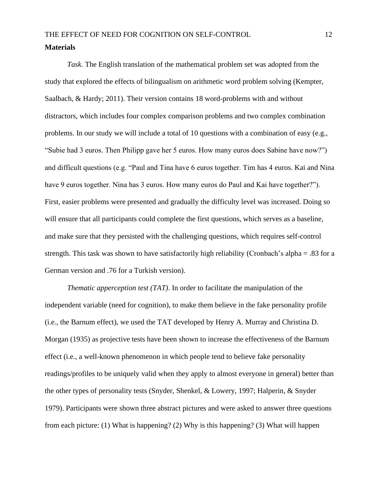## THE EFFECT OF NEED FOR COGNITION ON SELF-CONTROL 12 **Materials**

*Task.* The English translation of the mathematical problem set was adopted from the study that explored the effects of bilingualism on arithmetic word problem solving (Kempter, Saalbach, & Hardy; 2011). Their version contains 18 word-problems with and without distractors, which includes four complex comparison problems and two complex combination problems. In our study we will include a total of 10 questions with a combination of easy (e.g., "Subie had 3 euros. Then Philipp gave her 5 euros. How many euros does Sabine have now?") and difficult questions (e.g. "Paul and Tina have 6 euros together. Tim has 4 euros. Kai and Nina have 9 euros together. Nina has 3 euros. How many euros do Paul and Kai have together?"). First, easier problems were presented and gradually the difficulty level was increased. Doing so will ensure that all participants could complete the first questions, which serves as a baseline, and make sure that they persisted with the challenging questions, which requires self-control strength. This task was shown to have satisfactorily high reliability (Cronbach's alpha = .83 for a German version and .76 for a Turkish version).

*Thematic apperception test (TAT)*. In order to facilitate the manipulation of the independent variable (need for cognition), to make them believe in the fake personality profile (i.e., the Barnum effect), we used the TAT developed by Henry A. Murray and Christina D. Morgan (1935) as projective tests have been shown to increase the effectiveness of the Barnum effect (i.e., a well-known phenomenon in which people tend to believe fake personality readings/profiles to be uniquely valid when they apply to almost everyone in general) better than the other types of personality tests (Snyder, Shenkel, & Lowery, 1997; Halperin, & Snyder 1979). Participants were shown three abstract pictures and were asked to answer three questions from each picture: (1) What is happening? (2) Why is this happening? (3) What will happen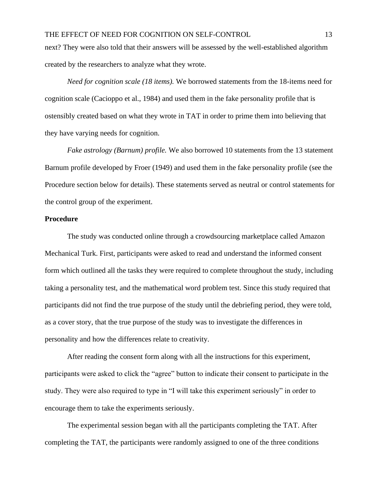next? They were also told that their answers will be assessed by the well-established algorithm created by the researchers to analyze what they wrote.

*Need for cognition scale (18 items).* We borrowed statements from the 18-items need for cognition scale (Cacioppo et al., 1984) and used them in the fake personality profile that is ostensibly created based on what they wrote in TAT in order to prime them into believing that they have varying needs for cognition.

*Fake astrology (Barnum) profile.* We also borrowed 10 statements from the 13 statement Barnum profile developed by Froer (1949) and used them in the fake personality profile (see the Procedure section below for details). These statements served as neutral or control statements for the control group of the experiment.

#### **Procedure**

The study was conducted online through a crowdsourcing marketplace called Amazon Mechanical Turk. First, participants were asked to read and understand the informed consent form which outlined all the tasks they were required to complete throughout the study, including taking a personality test, and the mathematical word problem test. Since this study required that participants did not find the true purpose of the study until the debriefing period, they were told, as a cover story, that the true purpose of the study was to investigate the differences in personality and how the differences relate to creativity.

After reading the consent form along with all the instructions for this experiment, participants were asked to click the "agree" button to indicate their consent to participate in the study. They were also required to type in "I will take this experiment seriously" in order to encourage them to take the experiments seriously.

The experimental session began with all the participants completing the TAT. After completing the TAT, the participants were randomly assigned to one of the three conditions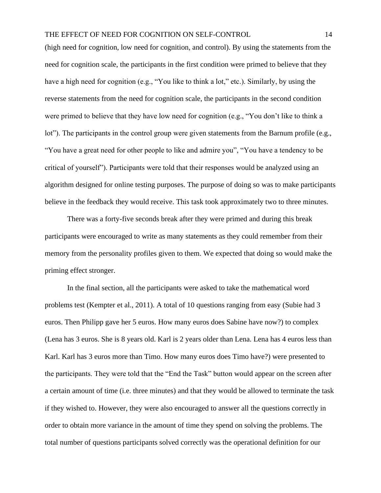(high need for cognition, low need for cognition, and control). By using the statements from the need for cognition scale, the participants in the first condition were primed to believe that they have a high need for cognition (e.g., "You like to think a lot," etc.). Similarly, by using the reverse statements from the need for cognition scale, the participants in the second condition were primed to believe that they have low need for cognition (e.g., "You don't like to think a lot"). The participants in the control group were given statements from the Barnum profile (e.g., "You have a great need for other people to like and admire you", "You have a tendency to be critical of yourself"). Participants were told that their responses would be analyzed using an algorithm designed for online testing purposes. The purpose of doing so was to make participants believe in the feedback they would receive. This task took approximately two to three minutes.

There was a forty-five seconds break after they were primed and during this break participants were encouraged to write as many statements as they could remember from their memory from the personality profiles given to them. We expected that doing so would make the priming effect stronger.

In the final section, all the participants were asked to take the mathematical word problems test (Kempter et al., 2011). A total of 10 questions ranging from easy (Subie had 3 euros. Then Philipp gave her 5 euros. How many euros does Sabine have now?) to complex (Lena has 3 euros. She is 8 years old. Karl is 2 years older than Lena. Lena has 4 euros less than Karl. Karl has 3 euros more than Timo. How many euros does Timo have?) were presented to the participants. They were told that the "End the Task" button would appear on the screen after a certain amount of time (i.e. three minutes) and that they would be allowed to terminate the task if they wished to. However, they were also encouraged to answer all the questions correctly in order to obtain more variance in the amount of time they spend on solving the problems. The total number of questions participants solved correctly was the operational definition for our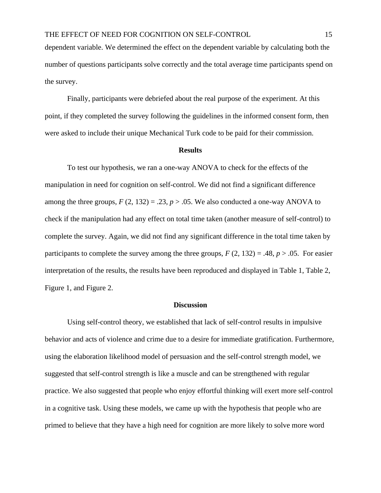dependent variable. We determined the effect on the dependent variable by calculating both the number of questions participants solve correctly and the total average time participants spend on the survey.

Finally, participants were debriefed about the real purpose of the experiment. At this point, if they completed the survey following the guidelines in the informed consent form, then were asked to include their unique Mechanical Turk code to be paid for their commission.

#### **Results**

To test our hypothesis, we ran a one-way ANOVA to check for the effects of the manipulation in need for cognition on self-control. We did not find a significant difference among the three groups,  $F(2, 132) = .23$ ,  $p > .05$ . We also conducted a one-way ANOVA to check if the manipulation had any effect on total time taken (another measure of self-control) to complete the survey. Again, we did not find any significant difference in the total time taken by participants to complete the survey among the three groups,  $F(2, 132) = .48$ ,  $p > .05$ . For easier interpretation of the results, the results have been reproduced and displayed in Table 1, Table 2, Figure 1, and Figure 2.

#### **Discussion**

Using self-control theory, we established that lack of self-control results in impulsive behavior and acts of violence and crime due to a desire for immediate gratification. Furthermore, using the elaboration likelihood model of persuasion and the self-control strength model, we suggested that self-control strength is like a muscle and can be strengthened with regular practice. We also suggested that people who enjoy effortful thinking will exert more self-control in a cognitive task. Using these models, we came up with the hypothesis that people who are primed to believe that they have a high need for cognition are more likely to solve more word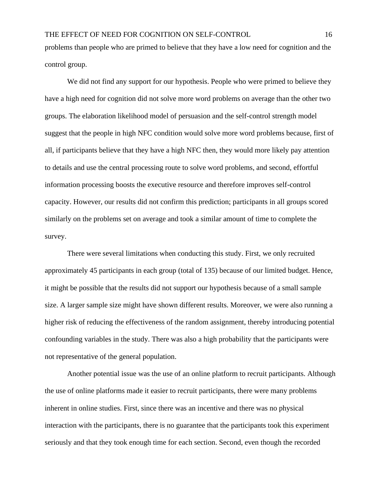problems than people who are primed to believe that they have a low need for cognition and the control group.

We did not find any support for our hypothesis. People who were primed to believe they have a high need for cognition did not solve more word problems on average than the other two groups. The elaboration likelihood model of persuasion and the self-control strength model suggest that the people in high NFC condition would solve more word problems because, first of all, if participants believe that they have a high NFC then, they would more likely pay attention to details and use the central processing route to solve word problems, and second, effortful information processing boosts the executive resource and therefore improves self-control capacity. However, our results did not confirm this prediction; participants in all groups scored similarly on the problems set on average and took a similar amount of time to complete the survey.

There were several limitations when conducting this study. First, we only recruited approximately 45 participants in each group (total of 135) because of our limited budget. Hence, it might be possible that the results did not support our hypothesis because of a small sample size. A larger sample size might have shown different results. Moreover, we were also running a higher risk of reducing the effectiveness of the random assignment, thereby introducing potential confounding variables in the study. There was also a high probability that the participants were not representative of the general population.

Another potential issue was the use of an online platform to recruit participants. Although the use of online platforms made it easier to recruit participants, there were many problems inherent in online studies. First, since there was an incentive and there was no physical interaction with the participants, there is no guarantee that the participants took this experiment seriously and that they took enough time for each section. Second, even though the recorded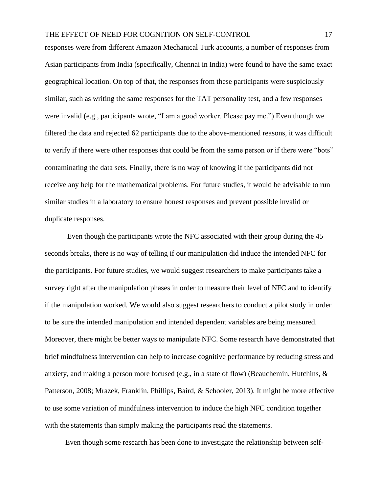responses were from different Amazon Mechanical Turk accounts, a number of responses from Asian participants from India (specifically, Chennai in India) were found to have the same exact geographical location. On top of that, the responses from these participants were suspiciously similar, such as writing the same responses for the TAT personality test, and a few responses were invalid (e.g., participants wrote, "I am a good worker. Please pay me.") Even though we filtered the data and rejected 62 participants due to the above-mentioned reasons, it was difficult to verify if there were other responses that could be from the same person or if there were "bots" contaminating the data sets. Finally, there is no way of knowing if the participants did not receive any help for the mathematical problems. For future studies, it would be advisable to run similar studies in a laboratory to ensure honest responses and prevent possible invalid or duplicate responses.

Even though the participants wrote the NFC associated with their group during the 45 seconds breaks, there is no way of telling if our manipulation did induce the intended NFC for the participants. For future studies, we would suggest researchers to make participants take a survey right after the manipulation phases in order to measure their level of NFC and to identify if the manipulation worked. We would also suggest researchers to conduct a pilot study in order to be sure the intended manipulation and intended dependent variables are being measured. Moreover, there might be better ways to manipulate NFC. Some research have demonstrated that brief mindfulness intervention can help to increase cognitive performance by reducing stress and anxiety, and making a person more focused (e.g., in a state of flow) (Beauchemin, Hutchins, & Patterson, 2008; Mrazek, Franklin, Phillips, Baird, & Schooler, 2013). It might be more effective to use some variation of mindfulness intervention to induce the high NFC condition together with the statements than simply making the participants read the statements.

Even though some research has been done to investigate the relationship between self-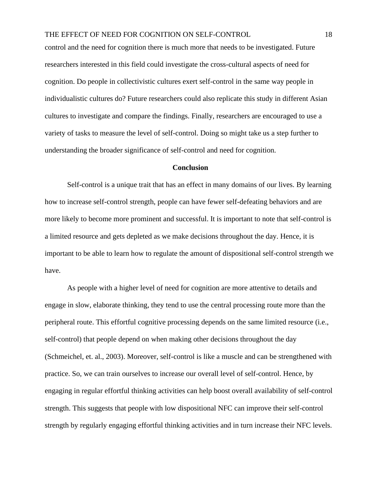control and the need for cognition there is much more that needs to be investigated. Future researchers interested in this field could investigate the cross-cultural aspects of need for cognition. Do people in collectivistic cultures exert self-control in the same way people in individualistic cultures do? Future researchers could also replicate this study in different Asian cultures to investigate and compare the findings. Finally, researchers are encouraged to use a variety of tasks to measure the level of self-control. Doing so might take us a step further to understanding the broader significance of self-control and need for cognition.

#### **Conclusion**

Self-control is a unique trait that has an effect in many domains of our lives. By learning how to increase self-control strength, people can have fewer self-defeating behaviors and are more likely to become more prominent and successful. It is important to note that self-control is a limited resource and gets depleted as we make decisions throughout the day. Hence, it is important to be able to learn how to regulate the amount of dispositional self-control strength we have.

As people with a higher level of need for cognition are more attentive to details and engage in slow, elaborate thinking, they tend to use the central processing route more than the peripheral route. This effortful cognitive processing depends on the same limited resource (i.e., self-control) that people depend on when making other decisions throughout the day (Schmeichel, et. al., 2003). Moreover, self-control is like a muscle and can be strengthened with practice. So, we can train ourselves to increase our overall level of self-control. Hence, by engaging in regular effortful thinking activities can help boost overall availability of self-control strength. This suggests that people with low dispositional NFC can improve their self-control strength by regularly engaging effortful thinking activities and in turn increase their NFC levels.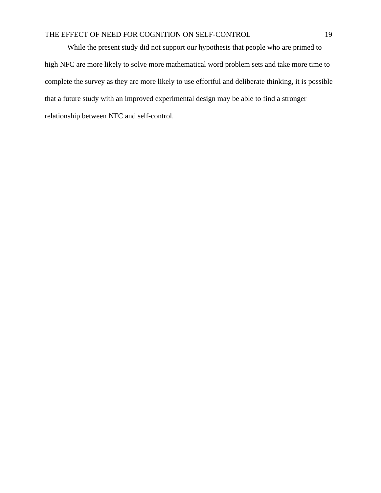While the present study did not support our hypothesis that people who are primed to high NFC are more likely to solve more mathematical word problem sets and take more time to complete the survey as they are more likely to use effortful and deliberate thinking, it is possible that a future study with an improved experimental design may be able to find a stronger relationship between NFC and self-control.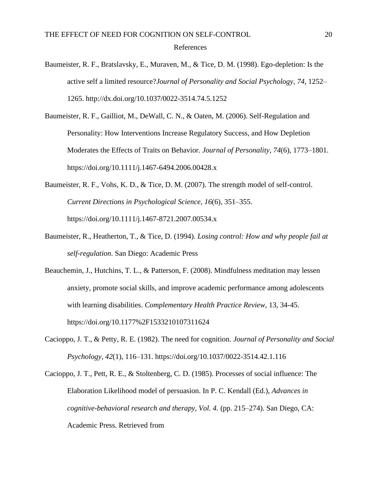- Baumeister, R. F., Bratslavsky, E., Muraven, M., & Tice, D. M. (1998). Ego-depletion: Is the active self a limited resource?*Journal of Personality and Social Psychology*, *74*, 1252– 1265. http://dx.doi.org/10.1037/0022-3514.74.5.1252
- Baumeister, R. F., Gailliot, M., DeWall, C. N., & Oaten, M. (2006). Self-Regulation and Personality: How Interventions Increase Regulatory Success, and How Depletion Moderates the Effects of Traits on Behavior. *Journal of Personality*, *74*(6), 1773–1801. https://doi.org/10.1111/j.1467-6494.2006.00428.x
- Baumeister, R. F., Vohs, K. D., & Tice, D. M. (2007). The strength model of self-control. *Current Directions in Psychological Science*, *16*(6), 351–355. https://doi.org/10.1111/j.1467-8721.2007.00534.x
- Baumeister, R., Heatherton, T., & Tice, D. (1994). *Losing control: How and why people fail at self-regulation*. San Diego: Academic Press
- Beauchemin, J., Hutchins, T. L., & Patterson, F. (2008). Mindfulness meditation may lessen anxiety, promote social skills, and improve academic performance among adolescents with learning disabilities. *Complementary Health Practice Review,* 13, 34-45. https://doi.org/10.1177%2F1533210107311624
- Cacioppo, J. T., & Petty, R. E. (1982). The need for cognition. *Journal of Personality and Social Psychology*, *42*(1), 116–131. https://doi.org/10.1037/0022-3514.42.1.116
- Cacioppo, J. T., Pett, R. E., & Stoltenberg, C. D. (1985). Processes of social influence: The Elaboration Likelihood model of persuasion. In P. C. Kendall (Ed.), *Advances in cognitive-behavioral research and therapy, Vol. 4.* (pp. 215–274). San Diego, CA: Academic Press. Retrieved from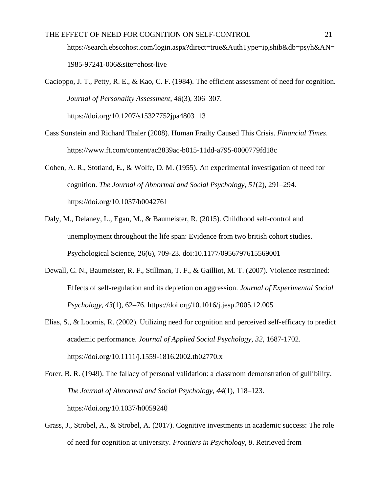1985-97241-006&site=ehost-live

Cacioppo, J. T., Petty, R. E., & Kao, C. F. (1984). The efficient assessment of need for cognition. *Journal of Personality Assessment*, *48*(3), 306–307.

https://doi.org/10.1207/s15327752jpa4803\_13

- Cass Sunstein and Richard Thaler (2008). Human Frailty Caused This Crisis. *Financial Times*. https://www.ft.com/content/ac2839ac-b015-11dd-a795-0000779fd18c
- Cohen, A. R., Stotland, E., & Wolfe, D. M. (1955). An experimental investigation of need for cognition. *The Journal of Abnormal and Social Psychology*, *51*(2), 291–294. https://doi.org/10.1037/h0042761
- Daly, M., Delaney, L., Egan, M., & Baumeister, R. (2015). Childhood self-control and unemployment throughout the life span: Evidence from two british cohort studies. Psychological Science, 26(6), 709-23. doi:10.1177/0956797615569001
- Dewall, C. N., Baumeister, R. F., Stillman, T. F., & Gailliot, M. T. (2007). Violence restrained: Effects of self-regulation and its depletion on aggression. *Journal of Experimental Social Psychology*, *43*(1), 62–76. https://doi.org/10.1016/j.jesp.2005.12.005
- Elias, S., & Loomis, R. (2002). Utilizing need for cognition and perceived self-efficacy to predict academic performance. *Journal of Applied Social Psychology, 32*, 1687-1702. https://doi.org/10.1111/j.1559-1816.2002.tb02770.x
- Forer, B. R. (1949). The fallacy of personal validation: a classroom demonstration of gullibility. *The Journal of Abnormal and Social Psychology*, *44*(1), 118–123. https://doi.org/10.1037/h0059240
- Grass, J., Strobel, A., & Strobel, A. (2017). Cognitive investments in academic success: The role of need for cognition at university. *Frontiers in Psychology*, *8*. Retrieved from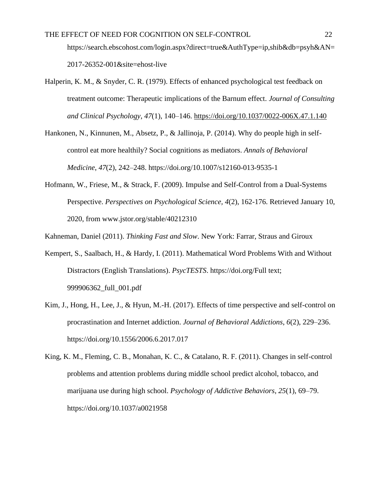2017-26352-001&site=ehost-live

- Halperin, K. M., & Snyder, C. R. (1979). Effects of enhanced psychological test feedback on treatment outcome: Therapeutic implications of the Barnum effect. *Journal of Consulting and Clinical Psychology*, *47*(1), 140–146.<https://doi.org/10.1037/0022-006X.47.1.140>
- Hankonen, N., Kinnunen, M., Absetz, P., & Jallinoja, P. (2014). Why do people high in selfcontrol eat more healthily? Social cognitions as mediators. *Annals of Behavioral Medicine*, *47*(2), 242–248. https://doi.org/10.1007/s12160-013-9535-1
- Hofmann, W., Friese, M., & Strack, F. (2009). Impulse and Self-Control from a Dual-Systems Perspective. *Perspectives on Psychological Science, 4*(2), 162-176. Retrieved January 10, 2020, from www.jstor.org/stable/40212310
- Kahneman, Daniel (2011). *Thinking Fast and Slow*. New York: Farrar, Straus and Giroux
- Kempert, S., Saalbach, H., & Hardy, I. (2011). Mathematical Word Problems With and Without Distractors (English Translations). *PsycTESTS*. https://doi.org/Full text; 999906362\_full\_001.pdf
- Kim, J., Hong, H., Lee, J., & Hyun, M.-H. (2017). Effects of time perspective and self-control on procrastination and Internet addiction. *Journal of Behavioral Addictions*, *6*(2), 229–236. https://doi.org/10.1556/2006.6.2017.017
- King, K. M., Fleming, C. B., Monahan, K. C., & Catalano, R. F. (2011). Changes in self-control problems and attention problems during middle school predict alcohol, tobacco, and marijuana use during high school. *Psychology of Addictive Behaviors*, *25*(1), 69–79. https://doi.org/10.1037/a0021958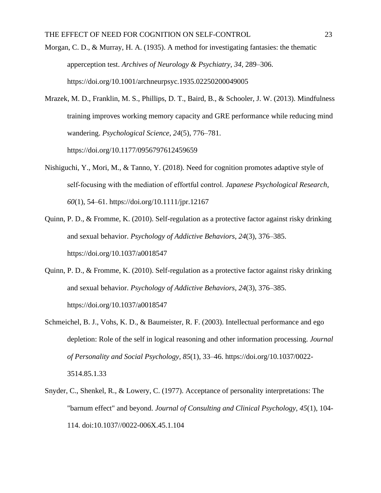- Morgan, C. D., & Murray, H. A. (1935). A method for investigating fantasies: the thematic apperception test. *Archives of Neurology & Psychiatry*, *34*, 289–306. https://doi.org/10.1001/archneurpsyc.1935.02250200049005
- Mrazek, M. D., Franklin, M. S., Phillips, D. T., Baird, B., & Schooler, J. W. (2013). Mindfulness training improves working memory capacity and GRE performance while reducing mind wandering. *Psychological Science*, *24*(5), 776–781. https://doi.org/10.1177/0956797612459659
- Nishiguchi, Y., Mori, M., & Tanno, Y. (2018). Need for cognition promotes adaptive style of self‐focusing with the mediation of effortful control. *Japanese Psychological Research*, *60*(1), 54–61. https://doi.org/10.1111/jpr.12167
- Quinn, P. D., & Fromme, K. (2010). Self-regulation as a protective factor against risky drinking and sexual behavior. *Psychology of Addictive Behaviors*, *24*(3), 376–385. https://doi.org/10.1037/a0018547
- Quinn, P. D., & Fromme, K. (2010). Self-regulation as a protective factor against risky drinking and sexual behavior. *Psychology of Addictive Behaviors*, *24*(3), 376–385. https://doi.org/10.1037/a0018547
- Schmeichel, B. J., Vohs, K. D., & Baumeister, R. F. (2003). Intellectual performance and ego depletion: Role of the self in logical reasoning and other information processing. *Journal of Personality and Social Psychology*, *85*(1), 33–46. https://doi.org/10.1037/0022- 3514.85.1.33
- Snyder, C., Shenkel, R., & Lowery, C. (1977). Acceptance of personality interpretations: The "barnum effect" and beyond. *Journal of Consulting and Clinical Psychology, 45*(1), 104- 114. doi:10.1037//0022-006X.45.1.104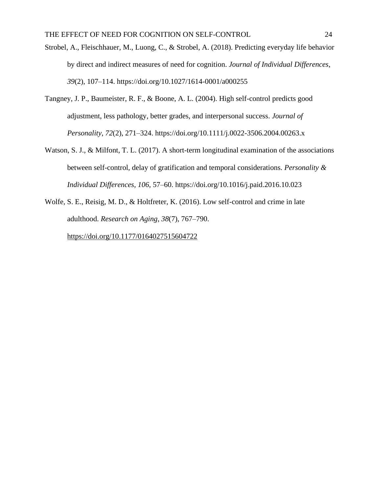- Strobel, A., Fleischhauer, M., Luong, C., & Strobel, A. (2018). Predicting everyday life behavior by direct and indirect measures of need for cognition. *Journal of Individual Differences*, *39*(2), 107–114. https://doi.org/10.1027/1614-0001/a000255
- Tangney, J. P., Baumeister, R. F., & Boone, A. L. (2004). High self-control predicts good adjustment, less pathology, better grades, and interpersonal success. *Journal of Personality*, *72*(2), 271–324. https://doi.org/10.1111/j.0022-3506.2004.00263.x
- Watson, S. J., & Milfont, T. L. (2017). A short-term longitudinal examination of the associations between self-control, delay of gratification and temporal considerations. *Personality & Individual Differences*, *106*, 57–60. https://doi.org/10.1016/j.paid.2016.10.023
- Wolfe, S. E., Reisig, M. D., & Holtfreter, K. (2016). Low self-control and crime in late adulthood. *Research on Aging*, *38*(7), 767–790.

https://doi.org/10.1177/0164027515604722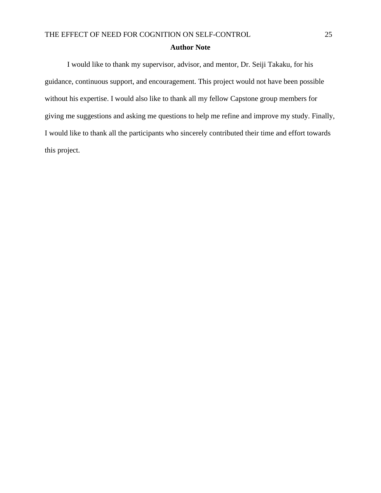#### **Author Note**

I would like to thank my supervisor, advisor, and mentor, Dr. Seiji Takaku, for his guidance, continuous support, and encouragement. This project would not have been possible without his expertise. I would also like to thank all my fellow Capstone group members for giving me suggestions and asking me questions to help me refine and improve my study. Finally, I would like to thank all the participants who sincerely contributed their time and effort towards this project.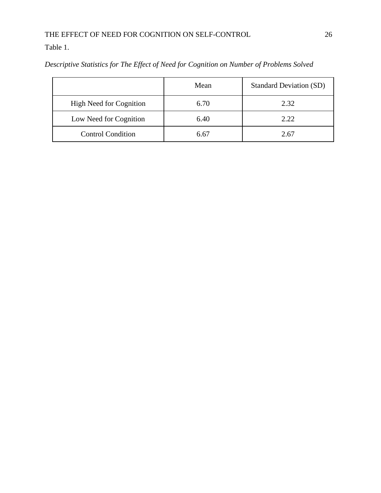Table 1.

|                          | Mean | <b>Standard Deviation (SD)</b> |
|--------------------------|------|--------------------------------|
| High Need for Cognition  | 6.70 | 2.32                           |
| Low Need for Cognition   | 6.40 | 2.22                           |
| <b>Control Condition</b> | 6.67 | 2.67                           |

*Descriptive Statistics for The Effect of Need for Cognition on Number of Problems Solved*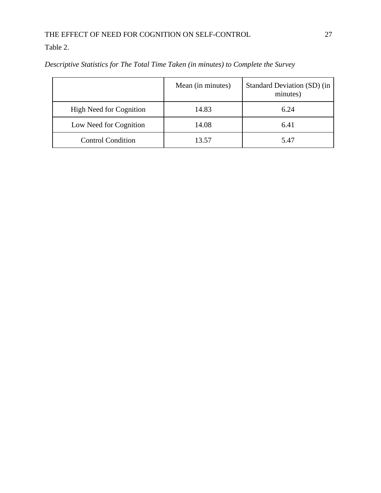Table 2.

|                                | Mean (in minutes) | Standard Deviation (SD) (in<br>minutes) |
|--------------------------------|-------------------|-----------------------------------------|
| <b>High Need for Cognition</b> | 14.83             | 6.24                                    |
| Low Need for Cognition         | 14.08             | 6.41                                    |
| <b>Control Condition</b>       | 13.57             | 5.47                                    |

*Descriptive Statistics for The Total Time Taken (in minutes) to Complete the Survey*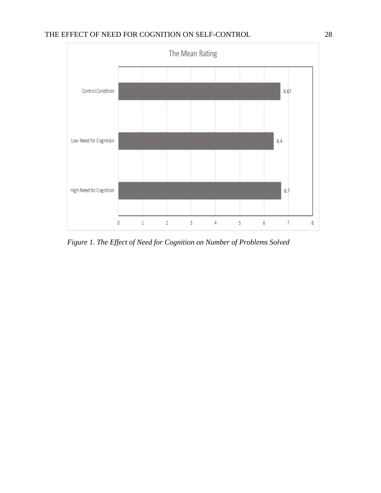

*Figure 1. The Effect of Need for Cognition on Number of Problems Solved*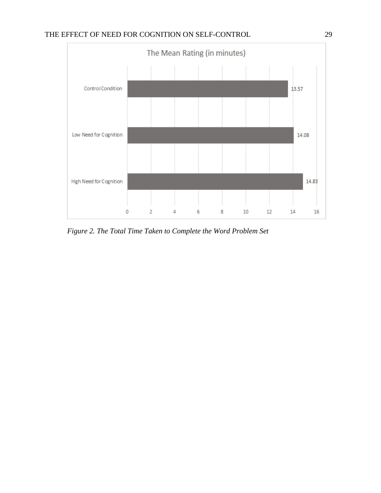

*Figure 2. The Total Time Taken to Complete the Word Problem Set*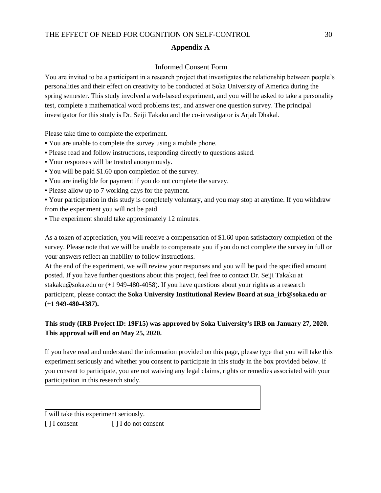#### **Appendix A**

#### Informed Consent Form

You are invited to be a participant in a research project that investigates the relationship between people's personalities and their effect on creativity to be conducted at Soka University of America during the spring semester. This study involved a web-based experiment, and you will be asked to take a personality test, complete a mathematical word problems test, and answer one question survey. The principal investigator for this study is Dr. Seiji Takaku and the co-investigator is Arjab Dhakal.

Please take time to complete the experiment.

- **•** You are unable to complete the survey using a mobile phone.
- Please read and follow instructions, responding directly to questions asked.
- Your responses will be treated anonymously.
- You will be paid \$1.60 upon completion of the survey.
- You are ineligible for payment if you do not complete the survey.
- Please allow up to 7 working days for the payment.

**•** Your participation in this study is completely voluntary, and you may stop at anytime. If you withdraw from the experiment you will not be paid.

**•** The experiment should take approximately 12 minutes.

As a token of appreciation, you will receive a compensation of \$1.60 upon satisfactory completion of the survey. Please note that we will be unable to compensate you if you do not complete the survey in full or your answers reflect an inability to follow instructions.

At the end of the experiment, we will review your responses and you will be paid the specified amount posted. If you have further questions about this project, feel free to contact Dr. Seiji Takaku at stakaku@soka.edu or (+1 949-480-4058). If you have questions about your rights as a research participant, please contact the **Soka University Institutional Review Board at sua\_irb@soka.edu or (+1 949-480-4387).** 

### **This study (IRB Project ID: 19F15) was approved by Soka University's IRB on January 27, 2020. This approval will end on May 25, 2020.**

If you have read and understand the information provided on this page, please type that you will take this experiment seriously and whether you consent to participate in this study in the box provided below. If you consent to participate, you are not waiving any legal claims, rights or remedies associated with your participation in this research study.

I will take this experiment seriously. [ ] I consent [ ] I do not consent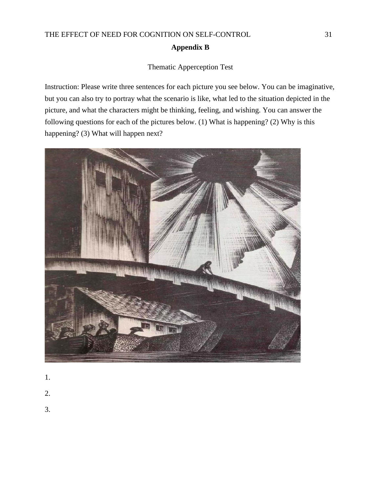## THE EFFECT OF NEED FOR COGNITION ON SELF-CONTROL 31 **Appendix B**

## Thematic Apperception Test

Instruction: Please write three sentences for each picture you see below. You can be imaginative, but you can also try to portray what the scenario is like, what led to the situation depicted in the picture, and what the characters might be thinking, feeling, and wishing. You can answer the following questions for each of the pictures below. (1) What is happening? (2) Why is this happening? (3) What will happen next?



- 1.
- 2.
- 3.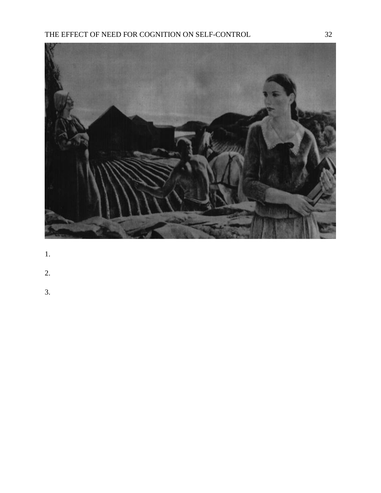

- 1.
- 2.
- 
- 3.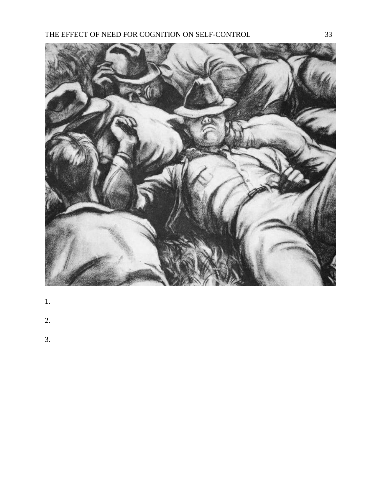

- 1.
- 2.
- 
- 3.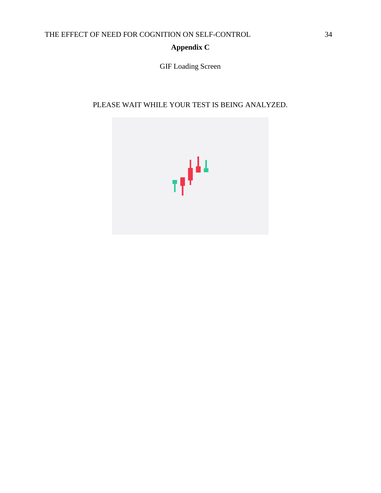## **Appendix C**

GIF Loading Screen

## PLEASE WAIT WHILE YOUR TEST IS BEING ANALYZED.

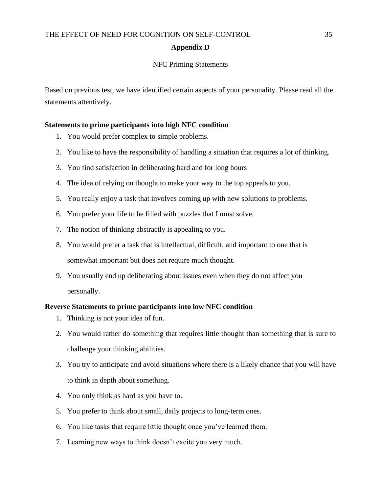#### **Appendix D**

#### NFC Priming Statements

Based on previous test, we have identified certain aspects of your personality. Please read all the statements attentively.

#### **Statements to prime participants into high NFC condition**

- 1. You would prefer complex to simple problems.
- 2. You like to have the responsibility of handling a situation that requires a lot of thinking.
- 3. You find satisfaction in deliberating hard and for long hours
- 4. The idea of relying on thought to make your way to the top appeals to you.
- 5. You really enjoy a task that involves coming up with new solutions to problems.
- 6. You prefer your life to be filled with puzzles that I must solve.
- 7. The notion of thinking abstractly is appealing to you.
- 8. You would prefer a task that is intellectual, difficult, and important to one that is somewhat important but does not require much thought.
- 9. You usually end up deliberating about issues even when they do not affect you personally.

#### **Reverse Statements to prime participants into low NFC condition**

- 1. Thinking is not your idea of fun.
- 2. You would rather do something that requires little thought than something that is sure to challenge your thinking abilities.
- 3. You try to anticipate and avoid situations where there is a likely chance that you will have to think in depth about something.
- 4. You only think as hard as you have to.
- 5. You prefer to think about small, daily projects to long-term ones.
- 6. You like tasks that require little thought once you've learned them.
- 7. Learning new ways to think doesn't excite you very much.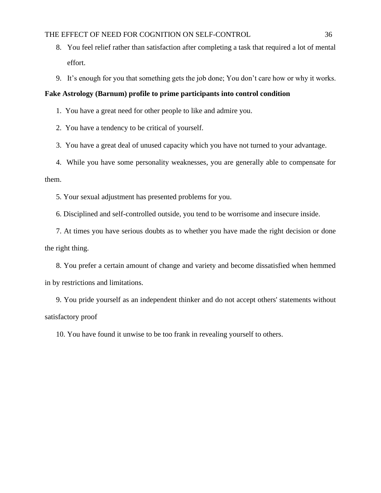- 8. You feel relief rather than satisfaction after completing a task that required a lot of mental effort.
- 9. It's enough for you that something gets the job done; You don't care how or why it works.

#### **Fake Astrology (Barnum) profile to prime participants into control condition**

- 1. You have a great need for other people to like and admire you.
- 2. You have a tendency to be critical of yourself.
- 3. You have a great deal of unused capacity which you have not turned to your advantage.

4. While you have some personality weaknesses, you are generally able to compensate for them.

5. Your sexual adjustment has presented problems for you.

6. Disciplined and self-controlled outside, you tend to be worrisome and insecure inside.

7. At times you have serious doubts as to whether you have made the right decision or done the right thing.

8. You prefer a certain amount of change and variety and become dissatisfied when hemmed in by restrictions and limitations.

9. You pride yourself as an independent thinker and do not accept others' statements without satisfactory proof

10. You have found it unwise to be too frank in revealing yourself to others.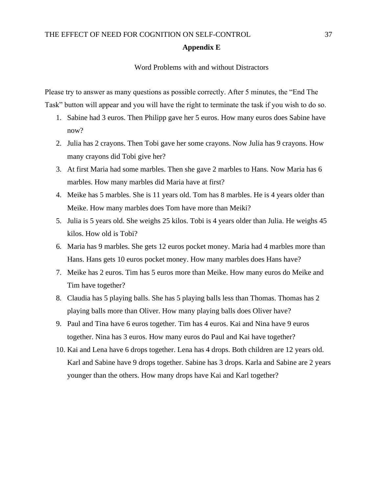#### **Appendix E**

#### Word Problems with and without Distractors

Please try to answer as many questions as possible correctly. After 5 minutes, the "End The Task" button will appear and you will have the right to terminate the task if you wish to do so.

- 1. Sabine had 3 euros. Then Philipp gave her 5 euros. How many euros does Sabine have now?
- 2. Julia has 2 crayons. Then Tobi gave her some crayons. Now Julia has 9 crayons. How many crayons did Tobi give her?
- 3. At first Maria had some marbles. Then she gave 2 marbles to Hans. Now Maria has 6 marbles. How many marbles did Maria have at first?
- 4. Meike has 5 marbles. She is 11 years old. Tom has 8 marbles. He is 4 years older than Meike. How many marbles does Tom have more than Meiki?
- 5. Julia is 5 years old. She weighs 25 kilos. Tobi is 4 years older than Julia. He weighs 45 kilos. How old is Tobi?
- 6. Maria has 9 marbles. She gets 12 euros pocket money. Maria had 4 marbles more than Hans. Hans gets 10 euros pocket money. How many marbles does Hans have?
- 7. Meike has 2 euros. Tim has 5 euros more than Meike. How many euros do Meike and Tim have together?
- 8. Claudia has 5 playing balls. She has 5 playing balls less than Thomas. Thomas has 2 playing balls more than Oliver. How many playing balls does Oliver have?
- 9. Paul and Tina have 6 euros together. Tim has 4 euros. Kai and Nina have 9 euros together. Nina has 3 euros. How many euros do Paul and Kai have together?
- 10. Kai and Lena have 6 drops together. Lena has 4 drops. Both children are 12 years old. Karl and Sabine have 9 drops together. Sabine has 3 drops. Karla and Sabine are 2 years younger than the others. How many drops have Kai and Karl together?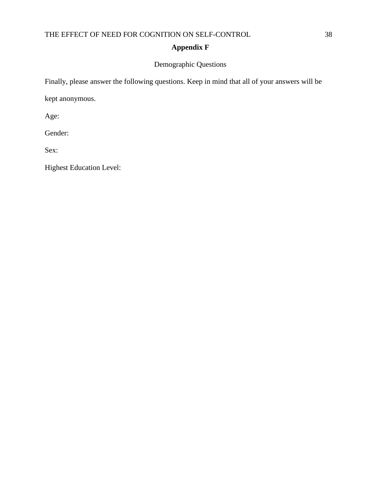## **Appendix F**

### Demographic Questions

Finally, please answer the following questions. Keep in mind that all of your answers will be

kept anonymous.

Age:

Gender:

Sex:

Highest Education Level: